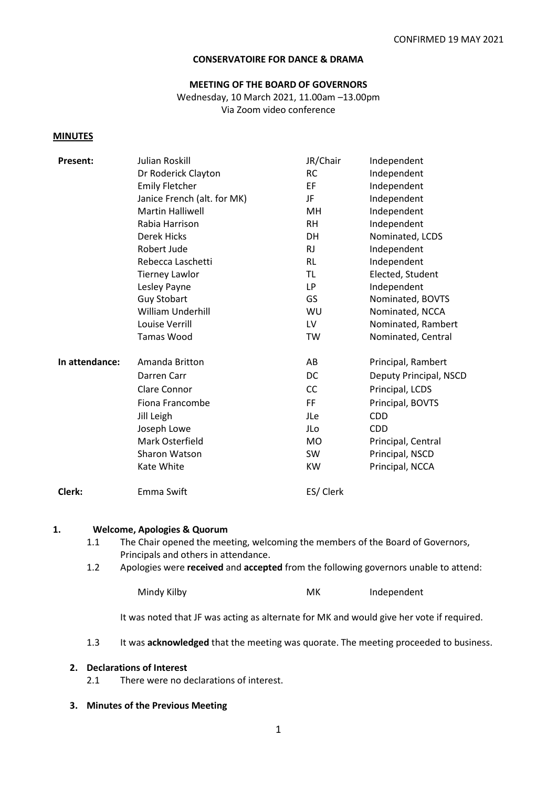#### **CONSERVATOIRE FOR DANCE & DRAMA**

#### **MEETING OF THE BOARD OF GOVERNORS** Wednesday, 10 March 2021, 11.00am –13.00pm

Via Zoom video conference

#### **MINUTES**

| <b>Present:</b> | Julian Roskill              | JR/Chair  | Independent            |
|-----------------|-----------------------------|-----------|------------------------|
|                 | Dr Roderick Clayton         | <b>RC</b> | Independent            |
|                 | <b>Emily Fletcher</b>       | EF        | Independent            |
|                 | Janice French (alt. for MK) | JF        | Independent            |
|                 | <b>Martin Halliwell</b>     | MH        | Independent            |
|                 | Rabia Harrison              | <b>RH</b> | Independent            |
|                 | <b>Derek Hicks</b>          | DH        | Nominated, LCDS        |
|                 | Robert Jude                 | <b>RJ</b> | Independent            |
|                 | Rebecca Laschetti           | <b>RL</b> | Independent            |
|                 | <b>Tierney Lawlor</b>       | <b>TL</b> | Elected, Student       |
|                 | Lesley Payne                | LP        | Independent            |
|                 | <b>Guy Stobart</b>          | GS        | Nominated, BOVTS       |
|                 | <b>William Underhill</b>    | WU        | Nominated, NCCA        |
|                 | Louise Verrill              | LV        | Nominated, Rambert     |
|                 | <b>Tamas Wood</b>           | TW        | Nominated, Central     |
| In attendance:  | Amanda Britton              | AB        | Principal, Rambert     |
|                 | Darren Carr                 | DC        | Deputy Principal, NSCD |
|                 | Clare Connor                | CC        | Principal, LCDS        |
|                 | Fiona Francombe             | FF        | Principal, BOVTS       |
|                 | Jill Leigh                  | JLe       | <b>CDD</b>             |
|                 | Joseph Lowe                 | JLo       | <b>CDD</b>             |
|                 | Mark Osterfield             | <b>MO</b> | Principal, Central     |
|                 | Sharon Watson               | <b>SW</b> | Principal, NSCD        |
|                 | Kate White                  | KW        | Principal, NCCA        |
| Clerk:          | Emma Swift                  | ES/ Clerk |                        |

#### **1. Welcome, Apologies & Quorum**

- 1.1 The Chair opened the meeting, welcoming the members of the Board of Governors, Principals and others in attendance.
- 1.2 Apologies were **received** and **accepted** from the following governors unable to attend:

Mindy Kilby **MK** Independent

It was noted that JF was acting as alternate for MK and would give her vote if required.

1.3 It was **acknowledged** that the meeting was quorate. The meeting proceeded to business.

#### **2. Declarations of Interest**

- 2.1 There were no declarations of interest.
- **3. Minutes of the Previous Meeting**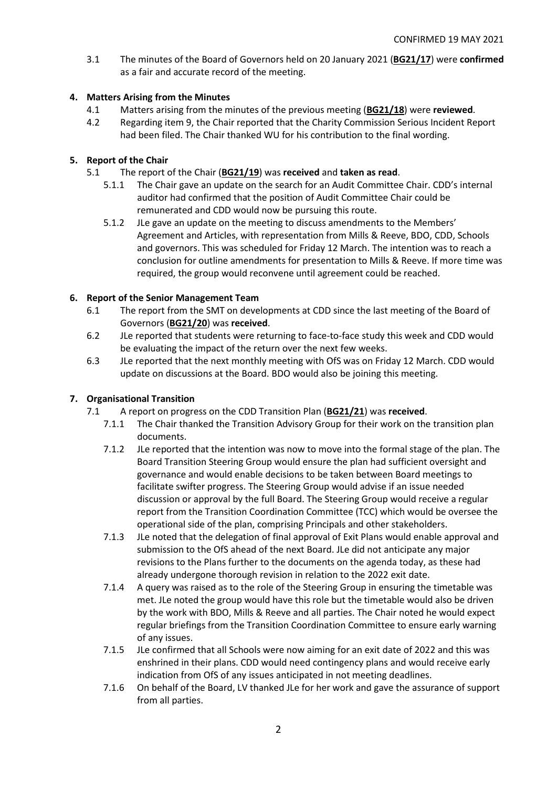3.1 The minutes of the Board of Governors held on 20 January 2021 (**BG21/17**) were **confirmed** as a fair and accurate record of the meeting.

# **4. Matters Arising from the Minutes**

- 4.1 Matters arising from the minutes of the previous meeting (**BG21/18**) were **reviewed**.
- 4.2 Regarding item 9, the Chair reported that the Charity Commission Serious Incident Report had been filed. The Chair thanked WU for his contribution to the final wording.

# **5. Report of the Chair**

- 5.1 The report of the Chair (**BG21/19**) was **received** and **taken as read**.
	- 5.1.1 The Chair gave an update on the search for an Audit Committee Chair. CDD's internal auditor had confirmed that the position of Audit Committee Chair could be remunerated and CDD would now be pursuing this route.
	- 5.1.2 JLe gave an update on the meeting to discuss amendments to the Members' Agreement and Articles, with representation from Mills & Reeve, BDO, CDD, Schools and governors. This was scheduled for Friday 12 March. The intention was to reach a conclusion for outline amendments for presentation to Mills & Reeve. If more time was required, the group would reconvene until agreement could be reached.

# **6. Report of the Senior Management Team**

- 6.1 The report from the SMT on developments at CDD since the last meeting of the Board of Governors (**BG21/20**) was **received**.
- 6.2 JLe reported that students were returning to face-to-face study this week and CDD would be evaluating the impact of the return over the next few weeks.
- 6.3 JLe reported that the next monthly meeting with OfS was on Friday 12 March. CDD would update on discussions at the Board. BDO would also be joining this meeting.

# **7. Organisational Transition**

- 7.1 A report on progress on the CDD Transition Plan (**BG21/21**) was **received**.
	- 7.1.1 The Chair thanked the Transition Advisory Group for their work on the transition plan documents.
	- 7.1.2 JLe reported that the intention was now to move into the formal stage of the plan. The Board Transition Steering Group would ensure the plan had sufficient oversight and governance and would enable decisions to be taken between Board meetings to facilitate swifter progress. The Steering Group would advise if an issue needed discussion or approval by the full Board. The Steering Group would receive a regular report from the Transition Coordination Committee (TCC) which would be oversee the operational side of the plan, comprising Principals and other stakeholders.
	- 7.1.3 JLe noted that the delegation of final approval of Exit Plans would enable approval and submission to the OfS ahead of the next Board. JLe did not anticipate any major revisions to the Plans further to the documents on the agenda today, as these had already undergone thorough revision in relation to the 2022 exit date.
	- 7.1.4 A query was raised as to the role of the Steering Group in ensuring the timetable was met. JLe noted the group would have this role but the timetable would also be driven by the work with BDO, Mills & Reeve and all parties. The Chair noted he would expect regular briefings from the Transition Coordination Committee to ensure early warning of any issues.
	- 7.1.5 JLe confirmed that all Schools were now aiming for an exit date of 2022 and this was enshrined in their plans. CDD would need contingency plans and would receive early indication from OfS of any issues anticipated in not meeting deadlines.
	- 7.1.6 On behalf of the Board, LV thanked JLe for her work and gave the assurance of support from all parties.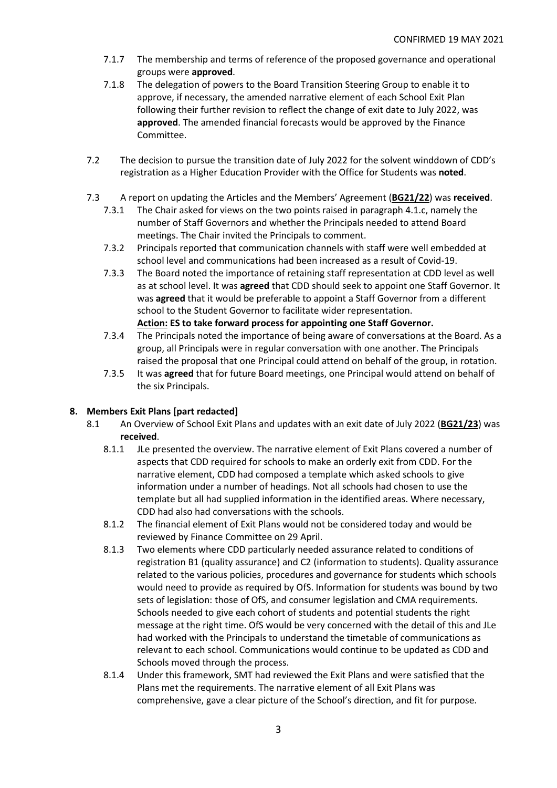- 7.1.7 The membership and terms of reference of the proposed governance and operational groups were **approved**.
- 7.1.8 The delegation of powers to the Board Transition Steering Group to enable it to approve, if necessary, the amended narrative element of each School Exit Plan following their further revision to reflect the change of exit date to July 2022, was **approved**. The amended financial forecasts would be approved by the Finance Committee.
- 7.2 The decision to pursue the transition date of July 2022 for the solvent winddown of CDD's registration as a Higher Education Provider with the Office for Students was **noted**.
- 7.3 A report on updating the Articles and the Members' Agreement (**BG21/22**) was **received**.
	- 7.3.1 The Chair asked for views on the two points raised in paragraph 4.1.c, namely the number of Staff Governors and whether the Principals needed to attend Board meetings. The Chair invited the Principals to comment.
	- 7.3.2 Principals reported that communication channels with staff were well embedded at school level and communications had been increased as a result of Covid-19.
	- 7.3.3 The Board noted the importance of retaining staff representation at CDD level as well as at school level. It was **agreed** that CDD should seek to appoint one Staff Governor. It was **agreed** that it would be preferable to appoint a Staff Governor from a different school to the Student Governor to facilitate wider representation. **Action: ES to take forward process for appointing one Staff Governor.**
	- 7.3.4 The Principals noted the importance of being aware of conversations at the Board. As a group, all Principals were in regular conversation with one another. The Principals raised the proposal that one Principal could attend on behalf of the group, in rotation.
	- 7.3.5 It was **agreed** that for future Board meetings, one Principal would attend on behalf of the six Principals.

## **8. Members Exit Plans [part redacted]**

- 8.1 An Overview of School Exit Plans and updates with an exit date of July 2022 (**BG21/23**) was **received**.
	- 8.1.1 JLe presented the overview. The narrative element of Exit Plans covered a number of aspects that CDD required for schools to make an orderly exit from CDD. For the narrative element, CDD had composed a template which asked schools to give information under a number of headings. Not all schools had chosen to use the template but all had supplied information in the identified areas. Where necessary, CDD had also had conversations with the schools.
	- 8.1.2 The financial element of Exit Plans would not be considered today and would be reviewed by Finance Committee on 29 April.
	- 8.1.3 Two elements where CDD particularly needed assurance related to conditions of registration B1 (quality assurance) and C2 (information to students). Quality assurance related to the various policies, procedures and governance for students which schools would need to provide as required by OfS. Information for students was bound by two sets of legislation: those of OfS, and consumer legislation and CMA requirements. Schools needed to give each cohort of students and potential students the right message at the right time. OfS would be very concerned with the detail of this and JLe had worked with the Principals to understand the timetable of communications as relevant to each school. Communications would continue to be updated as CDD and Schools moved through the process.
	- 8.1.4 Under this framework, SMT had reviewed the Exit Plans and were satisfied that the Plans met the requirements. The narrative element of all Exit Plans was comprehensive, gave a clear picture of the School's direction, and fit for purpose.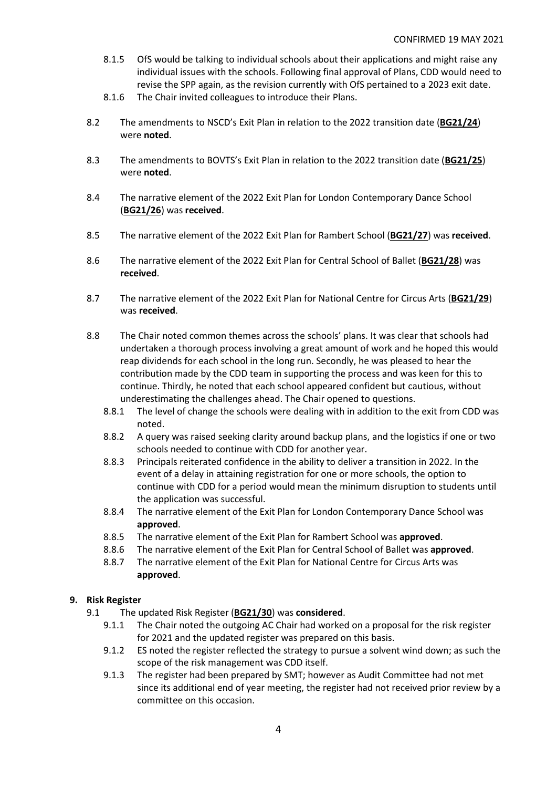- 8.1.5 OfS would be talking to individual schools about their applications and might raise any individual issues with the schools. Following final approval of Plans, CDD would need to revise the SPP again, as the revision currently with OfS pertained to a 2023 exit date.
- 8.1.6 The Chair invited colleagues to introduce their Plans.
- 8.2 The amendments to NSCD's Exit Plan in relation to the 2022 transition date (**BG21/24**) were **noted**.
- 8.3 The amendments to BOVTS's Exit Plan in relation to the 2022 transition date (**BG21/25**) were **noted**.
- 8.4 The narrative element of the 2022 Exit Plan for London Contemporary Dance School (**BG21/26**) was **received**.
- 8.5 The narrative element of the 2022 Exit Plan for Rambert School (**BG21/27**) was **received**.
- 8.6 The narrative element of the 2022 Exit Plan for Central School of Ballet (**BG21/28**) was **received**.
- 8.7 The narrative element of the 2022 Exit Plan for National Centre for Circus Arts (**BG21/29**) was **received**.
- 8.8 The Chair noted common themes across the schools' plans. It was clear that schools had undertaken a thorough process involving a great amount of work and he hoped this would reap dividends for each school in the long run. Secondly, he was pleased to hear the contribution made by the CDD team in supporting the process and was keen for this to continue. Thirdly, he noted that each school appeared confident but cautious, without underestimating the challenges ahead. The Chair opened to questions.
	- 8.8.1 The level of change the schools were dealing with in addition to the exit from CDD was noted.
	- 8.8.2 A query was raised seeking clarity around backup plans, and the logistics if one or two schools needed to continue with CDD for another year.
	- 8.8.3 Principals reiterated confidence in the ability to deliver a transition in 2022. In the event of a delay in attaining registration for one or more schools, the option to continue with CDD for a period would mean the minimum disruption to students until the application was successful.
	- 8.8.4 The narrative element of the Exit Plan for London Contemporary Dance School was **approved**.
	- 8.8.5 The narrative element of the Exit Plan for Rambert School was **approved**.
	- 8.8.6 The narrative element of the Exit Plan for Central School of Ballet was **approved**.
	- 8.8.7 The narrative element of the Exit Plan for National Centre for Circus Arts was **approved**.

## **9. Risk Register**

- 9.1 The updated Risk Register (**BG21/30**) was **considered**.
	- 9.1.1 The Chair noted the outgoing AC Chair had worked on a proposal for the risk register for 2021 and the updated register was prepared on this basis.
	- 9.1.2 ES noted the register reflected the strategy to pursue a solvent wind down; as such the scope of the risk management was CDD itself.
	- 9.1.3 The register had been prepared by SMT; however as Audit Committee had not met since its additional end of year meeting, the register had not received prior review by a committee on this occasion.